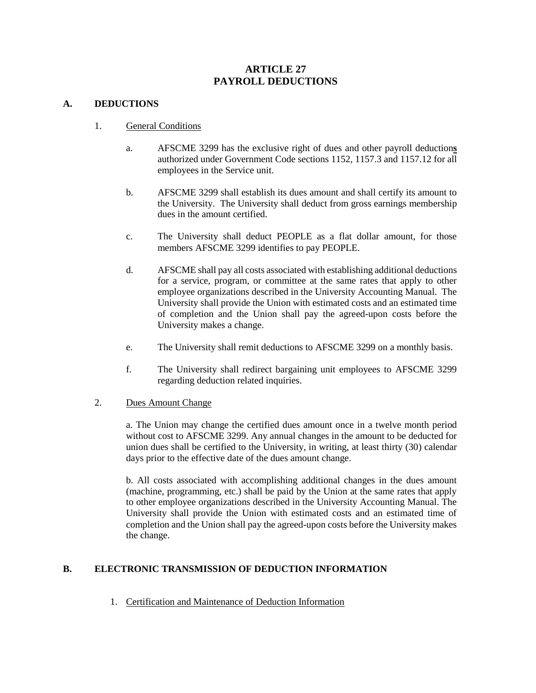# **ARTICLE 27 PAYROLL DEDUCTIONS**

#### **A. DEDUCTIONS**

- 1. General Conditions
	- a. AFSCME 3299 has the exclusive right of dues and other payroll deduction**s**  authorized under Government Code sections 1152, 1157.3 and 1157.12 for all employees in the Service unit.
	- b. AFSCME 3299 shall establish its dues amount and shall certify its amount to the University. The University shall deduct from gross earnings membership dues in the amount certified.
	- c. The University shall deduct PEOPLE as a flat dollar amount, for those members AFSCME 3299 identifies to pay PEOPLE.
	- d. AFSCME shall pay all costs associated with establishing additional deductions for a service, program, or committee at the same rates that apply to other employee organizations described in the University Accounting Manual. The University shall provide the Union with estimated costs and an estimated time of completion and the Union shall pay the agreed-upon costs before the University makes a change.
	- e. The University shall remit deductions to AFSCME 3299 on a monthly basis.
	- f. The University shall redirect bargaining unit employees to AFSCME 3299 regarding deduction related inquiries.

#### 2. Dues Amount Change

a. The Union may change the certified dues amount once in a twelve month period without cost to AFSCME 3299. Any annual changes in the amount to be deducted for union dues shall be certified to the University, in writing, at least thirty (30) calendar days prior to the effective date of the dues amount change.

b. All costs associated with accomplishing additional changes in the dues amount (machine, programming, etc.) shall be paid by the Union at the same rates that apply to other employee organizations described in the University Accounting Manual. The University shall provide the Union with estimated costs and an estimated time of completion and the Union shall pay the agreed-upon costs before the University makes the change.

### **B. ELECTRONIC TRANSMISSION OF DEDUCTION INFORMATION**

1. Certification and Maintenance of Deduction Information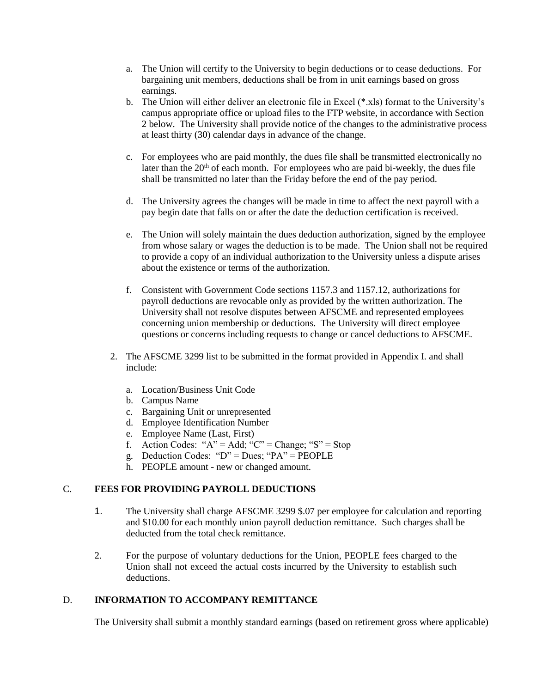- a. The Union will certify to the University to begin deductions or to cease deductions. For bargaining unit members, deductions shall be from in unit earnings based on gross earnings.
- b. The Union will either deliver an electronic file in Excel (\*.xls) format to the University's campus appropriate office or upload files to the FTP website, in accordance with Section 2 below. The University shall provide notice of the changes to the administrative process at least thirty (30) calendar days in advance of the change.
- c. For employees who are paid monthly, the dues file shall be transmitted electronically no later than the  $20<sup>th</sup>$  of each month. For employees who are paid bi-weekly, the dues file shall be transmitted no later than the Friday before the end of the pay period.
- d. The University agrees the changes will be made in time to affect the next payroll with a pay begin date that falls on or after the date the deduction certification is received.
- e. The Union will solely maintain the dues deduction authorization, signed by the employee from whose salary or wages the deduction is to be made. The Union shall not be required to provide a copy of an individual authorization to the University unless a dispute arises about the existence or terms of the authorization.
- f. Consistent with Government Code sections 1157.3 and 1157.12, authorizations for payroll deductions are revocable only as provided by the written authorization. The University shall not resolve disputes between AFSCME and represented employees concerning union membership or deductions. The University will direct employee questions or concerns including requests to change or cancel deductions to AFSCME.
- 2. The AFSCME 3299 list to be submitted in the format provided in Appendix I. and shall include:
	- a. Location/Business Unit Code
	- b. Campus Name
	- c. Bargaining Unit or unrepresented
	- d. Employee Identification Number
	- e. Employee Name (Last, First)
	- f. Action Codes: " $A$ " = Add; "C" = Change; "S" = Stop
	- g. Deduction Codes: " $D$ " = Dues; "PA" = PEOPLE
	- h. PEOPLE amount new or changed amount.

### C. **FEES FOR PROVIDING PAYROLL DEDUCTIONS**

- 1. The University shall charge AFSCME 3299 \$.07 per employee for calculation and reporting and \$10.00 for each monthly union payroll deduction remittance. Such charges shall be deducted from the total check remittance.
- 2. For the purpose of voluntary deductions for the Union, PEOPLE fees charged to the Union shall not exceed the actual costs incurred by the University to establish such deductions.

### D. **INFORMATION TO ACCOMPANY REMITTANCE**

The University shall submit a monthly standard earnings (based on retirement gross where applicable)